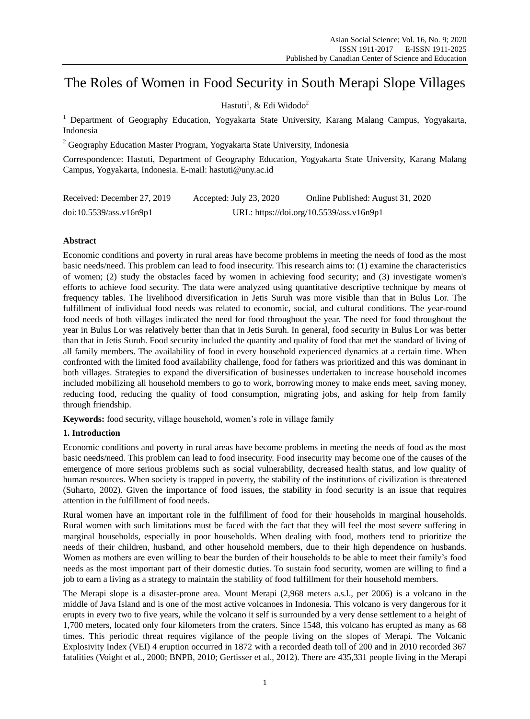# The Roles of Women in Food Security in South Merapi Slope Villages

Hastuti<sup>1</sup>, & Edi Widodo<sup>2</sup>

<sup>1</sup> Department of Geography Education, Yogyakarta State University, Karang Malang Campus, Yogyakarta, Indonesia

 $2$  Geography Education Master Program, Yogyakarta State University, Indonesia

Correspondence: Hastuti, Department of Geography Education, Yogyakarta State University, Karang Malang Campus, Yogyakarta, Indonesia. E-mail: hastuti@uny.ac.id

| Received: December 27, 2019 | Accepted: July 23, 2020 | Online Published: August 31, 2020        |
|-----------------------------|-------------------------|------------------------------------------|
| doi:10.5539/ass.v16n9p1     |                         | URL: https://doi.org/10.5539/ass.v16n9p1 |

# **Abstract**

Economic conditions and poverty in rural areas have become problems in meeting the needs of food as the most basic needs/need. This problem can lead to food insecurity. This research aims to: (1) examine the characteristics of women; (2) study the obstacles faced by women in achieving food security; and (3) investigate women's efforts to achieve food security. The data were analyzed using quantitative descriptive technique by means of frequency tables. The livelihood diversification in Jetis Suruh was more visible than that in Bulus Lor. The fulfillment of individual food needs was related to economic, social, and cultural conditions. The year-round food needs of both villages indicated the need for food throughout the year. The need for food throughout the year in Bulus Lor was relatively better than that in Jetis Suruh. In general, food security in Bulus Lor was better than that in Jetis Suruh. Food security included the quantity and quality of food that met the standard of living of all family members. The availability of food in every household experienced dynamics at a certain time. When confronted with the limited food availability challenge, food for fathers was prioritized and this was dominant in both villages. Strategies to expand the diversification of businesses undertaken to increase household incomes included mobilizing all household members to go to work, borrowing money to make ends meet, saving money, reducing food, reducing the quality of food consumption, migrating jobs, and asking for help from family through friendship.

**Keywords:** food security, village household, women's role in village family

## **1. Introduction**

Economic conditions and poverty in rural areas have become problems in meeting the needs of food as the most basic needs/need. This problem can lead to food insecurity. Food insecurity may become one of the causes of the emergence of more serious problems such as social vulnerability, decreased health status, and low quality of human resources. When society is trapped in poverty, the stability of the institutions of civilization is threatened (Suharto, 2002). Given the importance of food issues, the stability in food security is an issue that requires attention in the fulfillment of food needs.

Rural women have an important role in the fulfillment of food for their households in marginal households. Rural women with such limitations must be faced with the fact that they will feel the most severe suffering in marginal households, especially in poor households. When dealing with food, mothers tend to prioritize the needs of their children, husband, and other household members, due to their high dependence on husbands. Women as mothers are even willing to bear the burden of their households to be able to meet their family's food needs as the most important part of their domestic duties. To sustain food security, women are willing to find a job to earn a living as a strategy to maintain the stability of food fulfillment for their household members.

The Merapi slope is a disaster-prone area. Mount Merapi (2,968 meters a.s.l., per 2006) is a volcano in the middle of Java Island and is one of the most active volcanoes in Indonesia. This volcano is very dangerous for it erupts in every two to five years, while the volcano it self is surrounded by a very dense settlement to a height of 1,700 meters, located only four kilometers from the craters. Since 1548, this volcano has erupted as many as 68 times. This periodic threat requires vigilance of the people living on the slopes of Merapi. The Volcanic Explosivity Index (VEI) 4 eruption occurred in 1872 with a recorded death toll of 200 and in 2010 recorded 367 fatalities (Voight et al., 2000; BNPB, 2010; Gertisser et al., 2012). There are 435,331 people living in the Merapi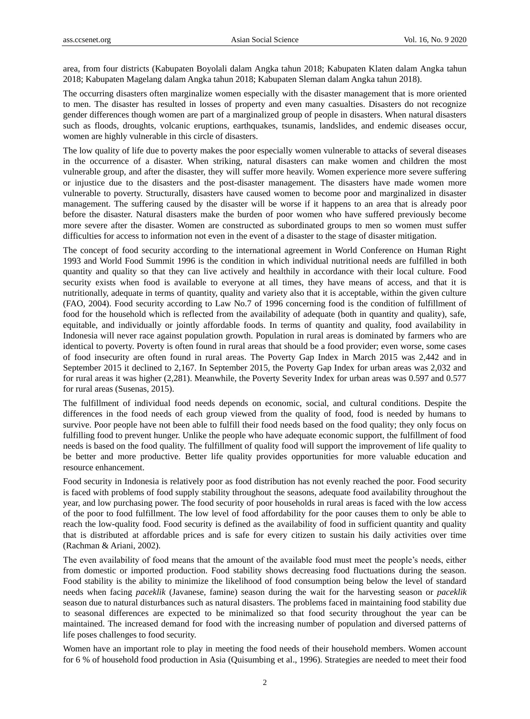area, from four districts (Kabupaten Boyolali dalam Angka tahun 2018; Kabupaten Klaten dalam Angka tahun 2018; Kabupaten Magelang dalam Angka tahun 2018; Kabupaten Sleman dalam Angka tahun 2018).

The occurring disasters often marginalize women especially with the disaster management that is more oriented to men. The disaster has resulted in losses of property and even many casualties. Disasters do not recognize gender differences though women are part of a marginalized group of people in disasters. When natural disasters such as floods, droughts, volcanic eruptions, earthquakes, tsunamis, landslides, and endemic diseases occur, women are highly vulnerable in this circle of disasters.

The low quality of life due to poverty makes the poor especially women vulnerable to attacks of several diseases in the occurrence of a disaster. When striking, natural disasters can make women and children the most vulnerable group, and after the disaster, they will suffer more heavily. Women experience more severe suffering or injustice due to the disasters and the post-disaster management. The disasters have made women more vulnerable to poverty. Structurally, disasters have caused women to become poor and marginalized in disaster management. The suffering caused by the disaster will be worse if it happens to an area that is already poor before the disaster. Natural disasters make the burden of poor women who have suffered previously become more severe after the disaster. Women are constructed as subordinated groups to men so women must suffer difficulties for access to information not even in the event of a disaster to the stage of disaster mitigation.

The concept of food security according to the international agreement in World Conference on Human Right 1993 and World Food Summit 1996 is the condition in which individual nutritional needs are fulfilled in both quantity and quality so that they can live actively and healthily in accordance with their local culture. Food security exists when food is available to everyone at all times, they have means of access, and that it is nutritionally, adequate in terms of quantity, quality and variety also that it is acceptable, within the given culture (FAO, 2004). Food security according to Law No.7 of 1996 concerning food is the condition of fulfillment of food for the household which is reflected from the availability of adequate (both in quantity and quality), safe, equitable, and individually or jointly affordable foods. In terms of quantity and quality, food availability in Indonesia will never race against population growth. Population in rural areas is dominated by farmers who are identical to poverty. Poverty is often found in rural areas that should be a food provider; even worse, some cases of food insecurity are often found in rural areas. The Poverty Gap Index in March 2015 was 2,442 and in September 2015 it declined to 2,167. In September 2015, the Poverty Gap Index for urban areas was 2,032 and for rural areas it was higher (2,281). Meanwhile, the Poverty Severity Index for urban areas was 0.597 and 0.577 for rural areas (Susenas, 2015).

The fulfillment of individual food needs depends on economic, social, and cultural conditions. Despite the differences in the food needs of each group viewed from the quality of food, food is needed by humans to survive. Poor people have not been able to fulfill their food needs based on the food quality; they only focus on fulfilling food to prevent hunger. Unlike the people who have adequate economic support, the fulfillment of food needs is based on the food quality. The fulfillment of quality food will support the improvement of life quality to be better and more productive. Better life quality provides opportunities for more valuable education and resource enhancement.

Food security in Indonesia is relatively poor as food distribution has not evenly reached the poor. Food security is faced with problems of food supply stability throughout the seasons, adequate food availability throughout the year, and low purchasing power. The food security of poor households in rural areas is faced with the low access of the poor to food fulfillment. The low level of food affordability for the poor causes them to only be able to reach the low-quality food. Food security is defined as the availability of food in sufficient quantity and quality that is distributed at affordable prices and is safe for every citizen to sustain his daily activities over time (Rachman & Ariani, 2002).

The even availability of food means that the amount of the available food must meet the people's needs, either from domestic or imported production. Food stability shows decreasing food fluctuations during the season. Food stability is the ability to minimize the likelihood of food consumption being below the level of standard needs when facing *paceklik* (Javanese, famine) season during the wait for the harvesting season or *paceklik* season due to natural disturbances such as natural disasters. The problems faced in maintaining food stability due to seasonal differences are expected to be minimalized so that food security throughout the year can be maintained. The increased demand for food with the increasing number of population and diversed patterns of life poses challenges to food security.

Women have an important role to play in meeting the food needs of their household members. Women account for 6 % of household food production in Asia (Quisumbing et al., 1996). Strategies are needed to meet their food

2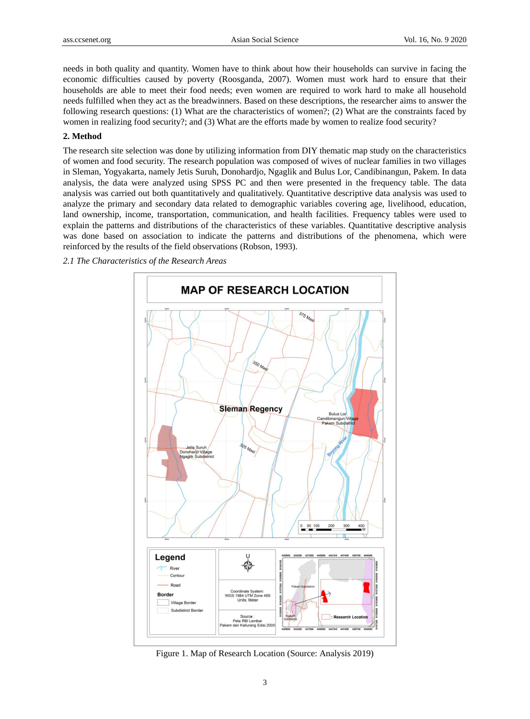needs in both quality and quantity. Women have to think about how their households can survive in facing the economic difficulties caused by poverty (Roosganda, 2007). Women must work hard to ensure that their households are able to meet their food needs; even women are required to work hard to make all household needs fulfilled when they act as the breadwinners. Based on these descriptions, the researcher aims to answer the following research questions: (1) What are the characteristics of women?; (2) What are the constraints faced by women in realizing food security?; and (3) What are the efforts made by women to realize food security?

## **2. Method**

The research site selection was done by utilizing information from DIY thematic map study on the characteristics of women and food security. The research population was composed of wives of nuclear families in two villages in Sleman, Yogyakarta, namely Jetis Suruh, Donohardjo, Ngaglik and Bulus Lor, Candibinangun, Pakem. In data analysis, the data were analyzed using SPSS PC and then were presented in the frequency table. The data analysis was carried out both quantitatively and qualitatively. Quantitative descriptive data analysis was used to analyze the primary and secondary data related to demographic variables covering age, livelihood, education, land ownership, income, transportation, communication, and health facilities. Frequency tables were used to explain the patterns and distributions of the characteristics of these variables. Quantitative descriptive analysis was done based on association to indicate the patterns and distributions of the phenomena, which were reinforced by the results of the field observations (Robson, 1993).

## *2.1 The Characteristics of the Research Areas*



Figure 1. Map of Research Location (Source: Analysis 2019)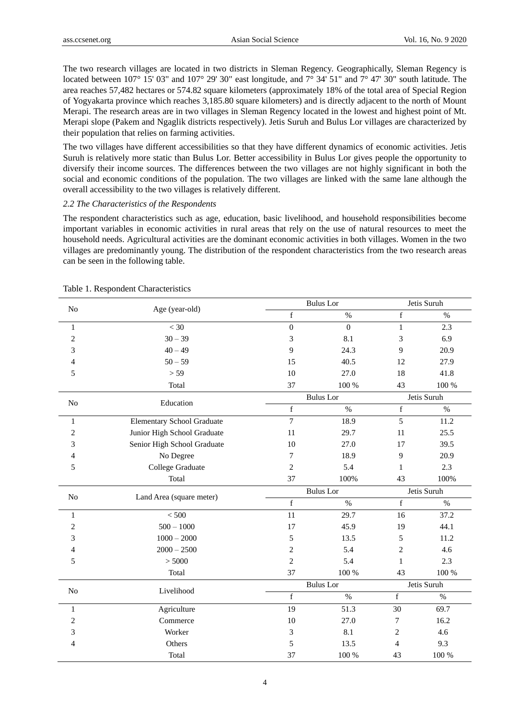The two research villages are located in two districts in Sleman Regency. Geographically, Sleman Regency is located between 107°15' 03" and 107°29' 30" east longitude, and 7°34' 51" and 7°47' 30" south latitude. The area reaches 57,482 hectares or 574.82 square kilometers (approximately 18% of the total area of Special Region of Yogyakarta province which reaches 3,185.80 square kilometers) and is directly adjacent to the north of Mount Merapi. The research areas are in two villages in Sleman Regency located in the lowest and highest point of Mt. Merapi slope (Pakem and Ngaglik districts respectively). Jetis Suruh and Bulus Lor villages are characterized by their population that relies on farming activities.

The two villages have different accessibilities so that they have different dynamics of economic activities. Jetis Suruh is relatively more static than Bulus Lor. Better accessibility in Bulus Lor gives people the opportunity to diversify their income sources. The differences between the two villages are not highly significant in both the social and economic conditions of the population. The two villages are linked with the same lane although the overall accessibility to the two villages is relatively different.

## *2.2 The Characteristics of the Respondents*

The respondent characteristics such as age, education, basic livelihood, and household responsibilities become important variables in economic activities in rural areas that rely on the use of natural resources to meet the household needs. Agricultural activities are the dominant economic activities in both villages. Women in the two villages are predominantly young. The distribution of the respondent characteristics from the two research areas can be seen in the following table.

| N <sub>o</sub> | Age (year-old)                    |                  | <b>Bulus</b> Lor |                         | Jetis Suruh |  |  |
|----------------|-----------------------------------|------------------|------------------|-------------------------|-------------|--|--|
|                |                                   | $\mathbf f$      | $\%$             | f                       | $\%$        |  |  |
| $\mathbf{1}$   | $<$ 30                            | $\boldsymbol{0}$ | $\boldsymbol{0}$ | $\,1$                   | 2.3         |  |  |
| $\overline{c}$ | $30 - 39$                         | 3                | 8.1              | 3                       | 6.9         |  |  |
| 3              | $40 - 49$                         | 9                | 24.3             | 9                       | 20.9        |  |  |
| 4              | $50 - 59$                         | 15               | 40.5             | 12                      | 27.9        |  |  |
| 5              | > 59                              | 10               | 27.0             | 18                      | 41.8        |  |  |
|                | Total                             | 37               | 100 %            | 43                      | 100 %       |  |  |
|                |                                   |                  | <b>Bulus</b> Lor |                         | Jetis Suruh |  |  |
| No             | Education                         | $\mathbf f$      | $\%$             | $\overline{\mathrm{f}}$ | $\%$        |  |  |
| 1              | <b>Elementary School Graduate</b> | $\overline{7}$   | 18.9             | 5                       | 11.2        |  |  |
| $\overline{c}$ | Junior High School Graduate       | 11               | 29.7             | 11                      | 25.5        |  |  |
| 3              | Senior High School Graduate       | 10               | 27.0             | 17                      | 39.5        |  |  |
| 4              | No Degree                         | 7                | 18.9             | 9                       | 20.9        |  |  |
| 5              | College Graduate                  | $\mathbf{2}$     | 5.4              | $\mathbf{1}$            | 2.3         |  |  |
|                | Total                             | 37               | 100%             | 43                      | 100%        |  |  |
|                | Land Area (square meter)          |                  | <b>Bulus</b> Lor |                         | Jetis Suruh |  |  |
| N <sub>o</sub> |                                   | $\mathbf f$      | $\%$             | $\mathbf f$             | $\%$        |  |  |
| 1              | < 500                             | 11               | 29.7             | 16                      | 37.2        |  |  |
| 2              | $500 - 1000$                      | 17               | 45.9             | 19                      | 44.1        |  |  |
| 3              | $1000 - 2000$                     | 5                | 13.5             | 5                       | 11.2        |  |  |
| 4              | $2000 - 2500$                     | $\boldsymbol{2}$ | 5.4              | $\overline{c}$          | 4.6         |  |  |
| 5              | > 5000                            | $\sqrt{2}$       | 5.4              | $\mathbf{1}$            | 2.3         |  |  |
|                | Total                             | 37               | 100 %            | 43                      | 100 %       |  |  |
| N <sub>o</sub> |                                   |                  | <b>Bulus</b> Lor |                         | Jetis Suruh |  |  |
|                | Livelihood                        | $\mathbf f$      | $\%$             | f                       | $\%$        |  |  |
| $\mathbf{1}$   | Agriculture                       | 19               | 51.3             | 30                      | 69.7        |  |  |
| $\overline{c}$ | Commerce                          | 10               | 27.0             | 7                       | 16.2        |  |  |
| 3              | Worker                            | 3                | 8.1              | $\overline{2}$          | 4.6         |  |  |
| 4              | Others                            | 5                | 13.5             | $\overline{4}$          | 9.3         |  |  |
|                | Total                             | 37               | 100 %            | 43                      | 100 %       |  |  |

|  |  |  | Table 1. Respondent Characteristics |
|--|--|--|-------------------------------------|
|--|--|--|-------------------------------------|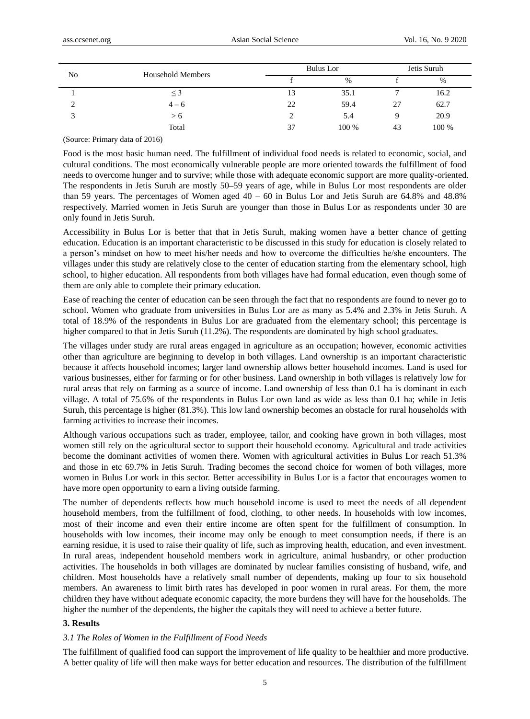| No | <b>Household Members</b> |    | Bulus Lor | Jetis Suruh |       |  |
|----|--------------------------|----|-----------|-------------|-------|--|
|    |                          |    | $\%$      |             | %     |  |
|    | $\leq$ 3                 | 13 | 35.1      | r.          | 16.2  |  |
| ◠  | $4 - 6$                  | 22 | 59.4      | 27          | 62.7  |  |
|    | > 6                      |    | 5.4       |             | 20.9  |  |
|    | Total                    | 37 | 100 %     | 43          | 100 % |  |

(Source: Primary data of 2016)

Food is the most basic human need. The fulfillment of individual food needs is related to economic, social, and cultural conditions. The most economically vulnerable people are more oriented towards the fulfillment of food needs to overcome hunger and to survive; while those with adequate economic support are more quality-oriented. The respondents in Jetis Suruh are mostly 50**–**59 years of age, while in Bulus Lor most respondents are older than 59 years. The percentages of Women aged  $40 - 60$  in Bulus Lor and Jetis Suruh are 64.8% and 48.8% respectively. Married women in Jetis Suruh are younger than those in Bulus Lor as respondents under 30 are only found in Jetis Suruh.

Accessibility in Bulus Lor is better that that in Jetis Suruh, making women have a better chance of getting education. Education is an important characteristic to be discussed in this study for education is closely related to a person's mindset on how to meet his/her needs and how to overcome the difficulties he/she encounters. The villages under this study are relatively close to the center of education starting from the elementary school, high school, to higher education. All respondents from both villages have had formal education, even though some of them are only able to complete their primary education.

Ease of reaching the center of education can be seen through the fact that no respondents are found to never go to school. Women who graduate from universities in Bulus Lor are as many as 5.4% and 2.3% in Jetis Suruh. A total of 18.9% of the respondents in Bulus Lor are graduated from the elementary school; this percentage is higher compared to that in Jetis Suruh (11.2%). The respondents are dominated by high school graduates.

The villages under study are rural areas engaged in agriculture as an occupation; however, economic activities other than agriculture are beginning to develop in both villages. Land ownership is an important characteristic because it affects household incomes; larger land ownership allows better household incomes. Land is used for various businesses, either for farming or for other business. Land ownership in both villages is relatively low for rural areas that rely on farming as a source of income. Land ownership of less than 0.1 ha is dominant in each village. A total of 75.6% of the respondents in Bulus Lor own land as wide as less than 0.1 ha; while in Jetis Suruh, this percentage is higher (81.3%). This low land ownership becomes an obstacle for rural households with farming activities to increase their incomes.

Although various occupations such as trader, employee, tailor, and cooking have grown in both villages, most women still rely on the agricultural sector to support their household economy. Agricultural and trade activities become the dominant activities of women there. Women with agricultural activities in Bulus Lor reach 51.3% and those in etc 69.7% in Jetis Suruh. Trading becomes the second choice for women of both villages, more women in Bulus Lor work in this sector. Better accessibility in Bulus Lor is a factor that encourages women to have more open opportunity to earn a living outside farming.

The number of dependents reflects how much household income is used to meet the needs of all dependent household members, from the fulfillment of food, clothing, to other needs. In households with low incomes, most of their income and even their entire income are often spent for the fulfillment of consumption. In households with low incomes, their income may only be enough to meet consumption needs, if there is an earning residue, it is used to raise their quality of life, such as improving health, education, and even investment. In rural areas, independent household members work in agriculture, animal husbandry, or other production activities. The households in both villages are dominated by nuclear families consisting of husband, wife, and children. Most households have a relatively small number of dependents, making up four to six household members. An awareness to limit birth rates has developed in poor women in rural areas. For them, the more children they have without adequate economic capacity, the more burdens they will have for the households. The higher the number of the dependents, the higher the capitals they will need to achieve a better future.

## **3. Results**

#### *3.1 The Roles of Women in the Fulfillment of Food Needs*

The fulfillment of qualified food can support the improvement of life quality to be healthier and more productive. A better quality of life will then make ways for better education and resources. The distribution of the fulfillment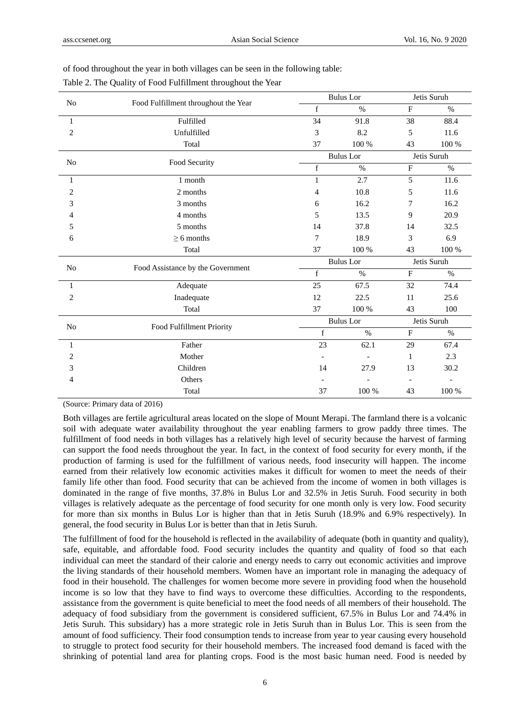|                | Food Fulfillment throughout the Year |                  | <b>Bulus</b> Lor |              | Jetis Suruh |  |
|----------------|--------------------------------------|------------------|------------------|--------------|-------------|--|
| N <sub>o</sub> |                                      | f                | $\%$             | $\mathbf{F}$ | $\%$        |  |
| 1              | Fulfilled                            | 34               | 91.8             | 38           | 88.4        |  |
| $\overline{c}$ | Unfulfilled                          | 3                | 8.2              | 5            | 11.6        |  |
|                | Total                                | 37               | 100 %            | 43           | 100 %       |  |
|                | Food Security                        |                  | <b>Bulus</b> Lor |              | Jetis Suruh |  |
| N <sub>o</sub> |                                      | $\mathbf f$      | $\%$             | $\mathbf F$  | $\%$        |  |
| 1              | 1 month                              | 1                | 2.7              | 5            | 11.6        |  |
| $\overline{2}$ | 2 months                             | 4                | 10.8             | 5            | 11.6        |  |
| 3              | 3 months                             | 6                | 16.2             | 7            | 16.2        |  |
| 4              | 4 months                             | 5                | 13.5             | 9            | 20.9        |  |
| 5              | 5 months                             | 14               | 37.8             | 14           | 32.5        |  |
| 6              | $\geq 6$ months                      | 7                | 18.9             | 3            | 6.9         |  |
|                | Total                                | 37               | 100 %            | 43           | 100 %       |  |
|                | Food Assistance by the Government    |                  | <b>Bulus</b> Lor |              | Jetis Suruh |  |
| N <sub>o</sub> |                                      | $\mathbf f$      | $\%$             | $\mathbf F$  | $\%$        |  |
| 1              | Adequate                             | 25               | 67.5             | 32           | 74.4        |  |
| $\overline{2}$ | Inadequate                           | 12               | 22.5             | 11           | 25.6        |  |
|                | Total                                | 37               | 100 %            | 43           | 100         |  |
|                |                                      | <b>Bulus</b> Lor |                  | Jetis Suruh  |             |  |
| No             | Food Fulfillment Priority            | f                | $\%$             | $\mathbf{F}$ | $\%$        |  |
| 1              | Father                               | 23               | 62.1             | 29           | 67.4        |  |
| 2              | Mother                               |                  |                  | 1            | 2.3         |  |
| 3              | Children                             | 14               | 27.9             | 13           | 30.2        |  |
| 4              | Others                               |                  |                  |              |             |  |
|                | Total                                | 37               | 100 %            | 43           | 100 %       |  |

of food throughout the year in both villages can be seen in the following table:

(Source: Primary data of 2016)

Both villages are fertile agricultural areas located on the slope of Mount Merapi. The farmland there is a volcanic soil with adequate water availability throughout the year enabling farmers to grow paddy three times. The fulfillment of food needs in both villages has a relatively high level of security because the harvest of farming can support the food needs throughout the year. In fact, in the context of food security for every month, if the production of farming is used for the fulfillment of various needs, food insecurity will happen. The income earned from their relatively low economic activities makes it difficult for women to meet the needs of their family life other than food. Food security that can be achieved from the income of women in both villages is dominated in the range of five months, 37.8% in Bulus Lor and 32.5% in Jetis Suruh. Food security in both villages is relatively adequate as the percentage of food security for one month only is very low. Food security for more than six months in Bulus Lor is higher than that in Jetis Suruh (18.9% and 6.9% respectively). In general, the food security in Bulus Lor is better than that in Jetis Suruh.

The fulfillment of food for the household is reflected in the availability of adequate (both in quantity and quality), safe, equitable, and affordable food. Food security includes the quantity and quality of food so that each individual can meet the standard of their calorie and energy needs to carry out economic activities and improve the living standards of their household members. Women have an important role in managing the adequacy of food in their household. The challenges for women become more severe in providing food when the household income is so low that they have to find ways to overcome these difficulties. According to the respondents, assistance from the government is quite beneficial to meet the food needs of all members of their household. The adequacy of food subsidiary from the government is considered sufficient, 67.5% in Bulus Lor and 74.4% in Jetis Suruh. This subsidary) has a more strategic role in Jetis Suruh than in Bulus Lor. This is seen from the amount of food sufficiency. Their food consumption tends to increase from year to year causing every household to struggle to protect food security for their household members. The increased food demand is faced with the shrinking of potential land area for planting crops. Food is the most basic human need. Food is needed by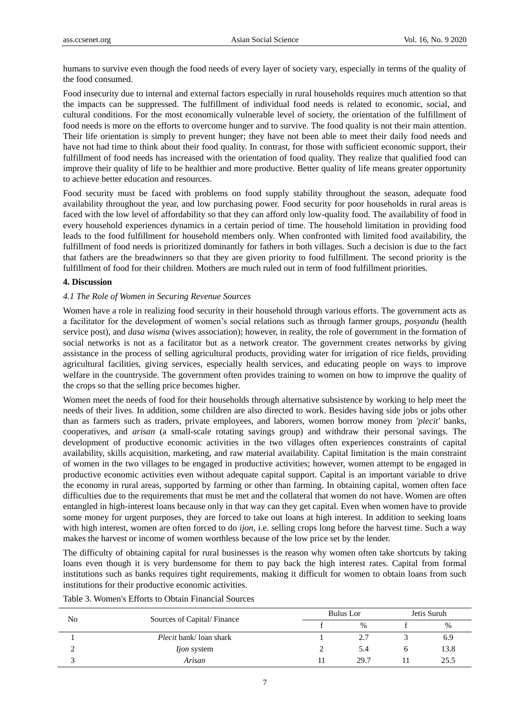humans to survive even though the food needs of every layer of society vary, especially in terms of the quality of the food consumed.

Food insecurity due to internal and external factors especially in rural households requires much attention so that the impacts can be suppressed. The fulfillment of individual food needs is related to economic, social, and cultural conditions. For the most economically vulnerable level of society, the orientation of the fulfillment of food needs is more on the efforts to overcome hunger and to survive. The food quality is not their main attention. Their life orientation is simply to prevent hunger; they have not been able to meet their daily food needs and have not had time to think about their food quality. In contrast, for those with sufficient economic support, their fulfillment of food needs has increased with the orientation of food quality. They realize that qualified food can improve their quality of life to be healthier and more productive. Better quality of life means greater opportunity to achieve better education and resources.

Food security must be faced with problems on food supply stability throughout the season, adequate food availability throughout the year, and low purchasing power. Food security for poor households in rural areas is faced with the low level of affordability so that they can afford only low-quality food. The availability of food in every household experiences dynamics in a certain period of time. The household limitation in providing food leads to the food fulfillment for household members only. When confronted with limited food availability, the fulfillment of food needs is prioritized dominantly for fathers in both villages. Such a decision is due to the fact that fathers are the breadwinners so that they are given priority to food fulfillment. The second priority is the fulfillment of food for their children. Mothers are much ruled out in term of food fulfillment priorities.

## **4. Discussion**

#### *4.1 The Role of Women in Securing Revenue Sources*

Women have a role in realizing food security in their household through various efforts. The government acts as a facilitator for the development of women's social relations such as through farmer groups, *posyandu* (health service post), and *dasa wisma* (wives association); however, in reality, the role of government in the formation of social networks is not as a facilitator but as a network creator. The government creates networks by giving assistance in the process of selling agricultural products, providing water for irrigation of rice fields, providing agricultural facilities, giving services, especially health services, and educating people on ways to improve welfare in the countryside. The government often provides training to women on how to improve the quality of the crops so that the selling price becomes higher.

Women meet the needs of food for their households through alternative subsistence by working to help meet the needs of their lives. In addition, some children are also directed to work. Besides having side jobs or jobs other than as farmers such as traders, private employees, and laborers, women borrow money from *'plecit'* banks, cooperatives, and *arisan* (a small-scale rotating savings group) and withdraw their personal savings. The development of productive economic activities in the two villages often experiences constraints of capital availability, skills acquisition, marketing, and raw material availability. Capital limitation is the main constraint of women in the two villages to be engaged in productive activities; however, women attempt to be engaged in productive economic activities even without adequate capital support. Capital is an important variable to drive the economy in rural areas, supported by farming or other than farming. In obtaining capital, women often face difficulties due to the requirements that must be met and the collateral that women do not have. Women are often entangled in high-interest loans because only in that way can they get capital. Even when women have to provide some money for urgent purposes, they are forced to take out loans at high interest. In addition to seeking loans with high interest, women are often forced to do *ijon*, i.e. selling crops long before the harvest time. Such a way makes the harvest or income of women worthless because of the low price set by the lender.

The difficulty of obtaining capital for rural businesses is the reason why women often take shortcuts by taking loans even though it is very burdensome for them to pay back the high interest rates. Capital from formal institutions such as banks requires tight requirements, making it difficult for women to obtain loans from such institutions for their productive economic activities.

| No | Sources of Capital/Finance    | Bulus Lor |  | Jetis Suruh |  |
|----|-------------------------------|-----------|--|-------------|--|
|    |                               | $\%$      |  | %           |  |
|    | <i>Plecit</i> bank/loan shark |           |  | 6.9         |  |
| ∸  | <i>ljon</i> system            | 5.4       |  | 13.8        |  |
|    | Arisan                        | 29.7      |  | 25.5        |  |

Table 3. Women's Efforts to Obtain Financial Sources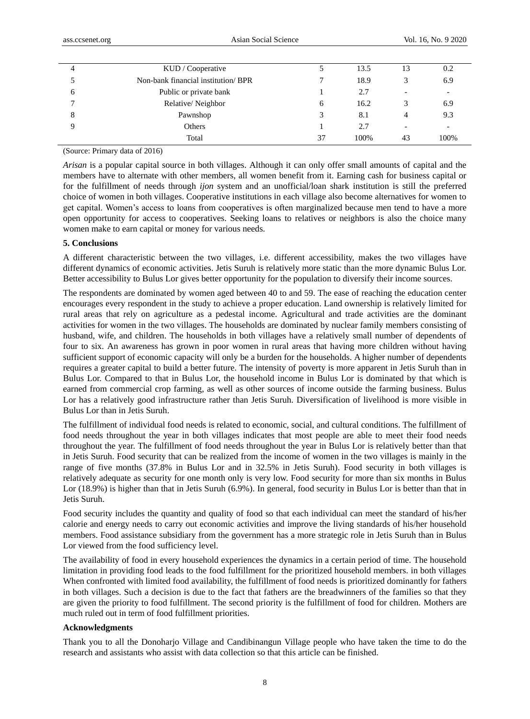|   | KUD / Cooperative                   |    | 13.5 | 13                       | 0.2  |
|---|-------------------------------------|----|------|--------------------------|------|
|   | Non-bank financial institution/ BPR |    | 18.9 |                          | 6.9  |
| 6 | Public or private bank              |    | 2.7  |                          |      |
|   | Relative/Neighbor                   | 6  | 16.2 |                          | 6.9  |
| ◠ | Pawnshop                            | 3  | 8.1  | 4                        | 9.3  |
|   | Others                              |    | 2.7  | $\overline{\phantom{0}}$ |      |
|   | Total                               | 37 | 100% | 43                       | 100% |
|   |                                     |    |      |                          |      |

(Source: Primary data of 2016)

*Arisan* is a popular capital source in both villages. Although it can only offer small amounts of capital and the members have to alternate with other members, all women benefit from it. Earning cash for business capital or for the fulfillment of needs through *ijon* system and an unofficial/loan shark institution is still the preferred choice of women in both villages. Cooperative institutions in each village also become alternatives for women to get capital. Women's access to loans from cooperatives is often marginalized because men tend to have a more open opportunity for access to cooperatives. Seeking loans to relatives or neighbors is also the choice many women make to earn capital or money for various needs.

## **5. Conclusions**

A different characteristic between the two villages, i.e. different accessibility, makes the two villages have different dynamics of economic activities. Jetis Suruh is relatively more static than the more dynamic Bulus Lor. Better accessibility to Bulus Lor gives better opportunity for the population to diversify their income sources.

The respondents are dominated by women aged between 40 to and 59. The ease of reaching the education center encourages every respondent in the study to achieve a proper education. Land ownership is relatively limited for rural areas that rely on agriculture as a pedestal income. Agricultural and trade activities are the dominant activities for women in the two villages. The households are dominated by nuclear family members consisting of husband, wife, and children. The households in both villages have a relatively small number of dependents of four to six. An awareness has grown in poor women in rural areas that having more children without having sufficient support of economic capacity will only be a burden for the households. A higher number of dependents requires a greater capital to build a better future. The intensity of poverty is more apparent in Jetis Suruh than in Bulus Lor. Compared to that in Bulus Lor, the household income in Bulus Lor is dominated by that which is earned from commercial crop farming, as well as other sources of income outside the farming business. Bulus Lor has a relatively good infrastructure rather than Jetis Suruh. Diversification of livelihood is more visible in Bulus Lor than in Jetis Suruh.

The fulfillment of individual food needs is related to economic, social, and cultural conditions. The fulfillment of food needs throughout the year in both villages indicates that most people are able to meet their food needs throughout the year. The fulfillment of food needs throughout the year in Bulus Lor is relatively better than that in Jetis Suruh. Food security that can be realized from the income of women in the two villages is mainly in the range of five months (37.8% in Bulus Lor and in 32.5% in Jetis Suruh). Food security in both villages is relatively adequate as security for one month only is very low. Food security for more than six months in Bulus Lor (18.9%) is higher than that in Jetis Suruh (6.9%). In general, food security in Bulus Lor is better than that in Jetis Suruh.

Food security includes the quantity and quality of food so that each individual can meet the standard of his/her calorie and energy needs to carry out economic activities and improve the living standards of his/her household members. Food assistance subsidiary from the government has a more strategic role in Jetis Suruh than in Bulus Lor viewed from the food sufficiency level.

The availability of food in every household experiences the dynamics in a certain period of time. The household limitation in providing food leads to the food fulfillment for the prioritized household members. in both villages When confronted with limited food availability, the fulfillment of food needs is prioritized dominantly for fathers in both villages. Such a decision is due to the fact that fathers are the breadwinners of the families so that they are given the priority to food fulfillment. The second priority is the fulfillment of food for children. Mothers are much ruled out in term of food fulfillment priorities.

#### **Acknowledgments**

Thank you to all the Donoharjo Village and Candibinangun Village people who have taken the time to do the research and assistants who assist with data collection so that this article can be finished.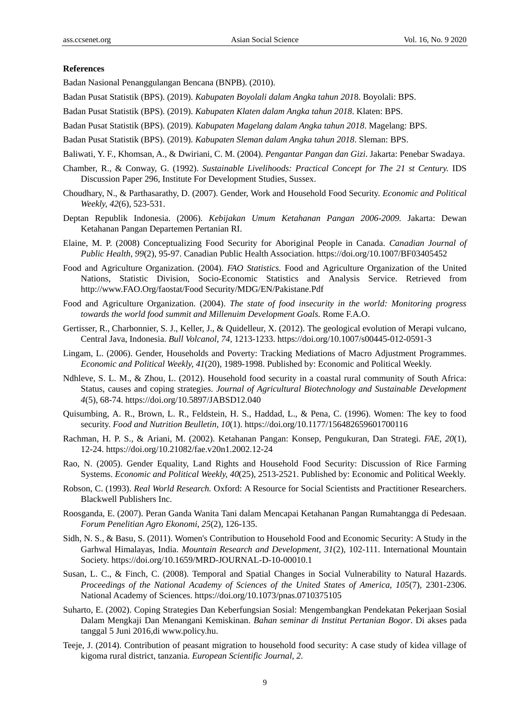## **References**

Badan Nasional Penanggulangan Bencana (BNPB). (2010).

- Badan Pusat Statistik (BPS). (2019). *Kabupaten Boyolali dalam Angka tahun 201*8. Boyolali: BPS.
- Badan Pusat Statistik (BPS). (2019). *Kabupaten Klaten dalam Angka tahun 2018*. Klaten: BPS.
- Badan Pusat Statistik (BPS). (2019). *Kabupaten Magelang dalam Angka tahun 2018*. Magelang: BPS.
- Badan Pusat Statistik (BPS). (2019). *Kabupaten Sleman dalam Angka tahun 2018*. Sleman: BPS.
- Baliwati, Y. F., Khomsan, A., & Dwiriani, C. M. (2004). *Pengantar Pangan dan Gizi*. Jakarta: Penebar Swadaya.
- Chamber, R., & Conway, G. (1992). *Sustainable Livelihoods: Practical Concept for The 21 st Century.* IDS Discussion Paper 296, Institute For Development Studies, Sussex.
- Choudhary, N., & Parthasarathy, D. (2007). Gender, Work and Household Food Security. *Economic and Political Weekly, 42*(6), 523-531.
- Deptan Republik Indonesia. (2006). *Kebijakan Umum Ketahanan Pangan 2006-2009.* Jakarta: Dewan Ketahanan Pangan Departemen Pertanian RI.
- Elaine, M. P. (2008) Conceptualizing Food Security for Aboriginal People in Canada. *Canadian Journal of Public Health, 99*(2), 95-97. Canadian Public Health Association. https://doi.org/10.1007/BF03405452
- Food and Agriculture Organization. (2004). *FAO Statistics.* Food and Agriculture Organization of the United Nations, Statistic Division, Socio-Economic Statistics and Analysis Service. Retrieved from http://www.FAO.Org/faostat/Food Security/MDG/EN/Pakistane.Pdf
- Food and Agriculture Organization. (2004). *The state of food insecurity in the world: Monitoring progress towards the world food summit and Millenuim Development Goals.* Rome F.A.O.
- Gertisser, R., Charbonnier, S. J., Keller, J., & Quidelleur, X. (2012). The geological evolution of Merapi vulcano, Central Java, Indonesia. *Bull Volcanol, 74,* 1213-1233. https://doi.org/10.1007/s00445-012-0591-3
- Lingam, L. (2006). Gender, Households and Poverty: Tracking Mediations of Macro Adjustment Programmes. *Economic and Political Weekly, 41*(20), 1989-1998. Published by: Economic and Political Weekly.
- Ndhleve, S. L. M., & Zhou, L. (2012). Household food security in a coastal rural community of South Africa: Status, causes and coping strategies. *Journal of Agricultural Biotechnology and Sustainable Development 4*(5), 68-74. https://doi.org/10.5897/JABSD12.040
- Quisumbing, A. R., Brown, L. R., Feldstein, H. S., Haddad, L., & Pena, C. (1996). Women: The key to food security. *Food and Nutrition Beulletin, 10*(1). https://doi.org/10.1177/156482659601700116
- Rachman, H. P. S., & Ariani, M. (2002). Ketahanan Pangan: Konsep, Pengukuran, Dan Strategi. *FAE, 20*(1), 12-24. https://doi.org/10.21082/fae.v20n1.2002.12-24
- Rao, N. (2005). Gender Equality, Land Rights and Household Food Security: Discussion of Rice Farming Systems. *Economic and Political Weekly, 40*(25), 2513-2521. Published by: Economic and Political Weekly.
- Robson, C. (1993). *Real World Research.* Oxford: A Resource for Social Scientists and Practitioner Researchers. Blackwell Publishers Inc.
- Roosganda, E. (2007). Peran Ganda Wanita Tani dalam Mencapai Ketahanan Pangan Rumahtangga di Pedesaan. *Forum Penelitian Agro Ekonomi, 25*(2), 126-135.
- Sidh, N. S., & Basu, S. (2011). Women's Contribution to Household Food and Economic Security: A Study in the Garhwal Himalayas, India. *Mountain Research and Development, 31*(2), 102-111. International Mountain Society. https://doi.org/10.1659/MRD-JOURNAL-D-10-00010.1
- Susan, L. C., & Finch, C. (2008). Temporal and Spatial Changes in Social Vulnerability to Natural Hazards. *Proceedings of the National Academy of Sciences of the United States of America, 105*(7), 2301-2306. National Academy of Sciences. https://doi.org/10.1073/pnas.0710375105
- Suharto, E. (2002). Coping Strategies Dan Keberfungsian Sosial: Mengembangkan Pendekatan Pekerjaan Sosial Dalam Mengkaji Dan Menangani Kemiskinan. *Bahan seminar di Institut Pertanian Bogor*. Di akses pada tanggal 5 Juni 2016,di www.policy.hu.
- Teeje, J. (2014). Contribution of peasant migration to household food security: A case study of kidea village of kigoma rural district, tanzania. *European Scientific Journal, 2.*